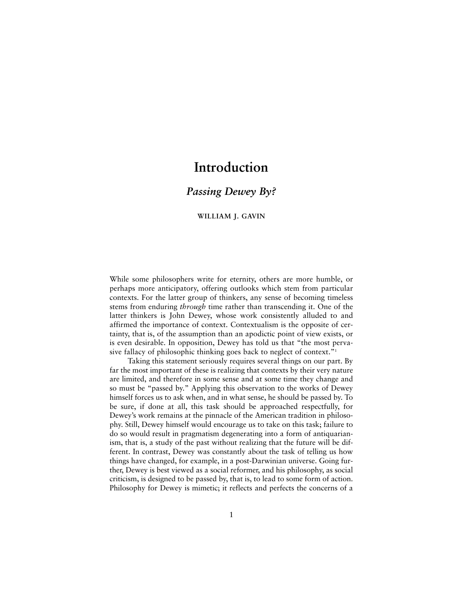# **Introduction**

# *Passing Dewey By?*

# **WILLIAM J. GAVIN**

While some philosophers write for eternity, others are more humble, or perhaps more anticipatory, offering outlooks which stem from particular contexts. For the latter group of thinkers, any sense of becoming timeless stems from enduring *through* time rather than transcending it. One of the latter thinkers is John Dewey, whose work consistently alluded to and affirmed the importance of context. Contextualism is the opposite of certainty, that is, of the assumption than an apodictic point of view exists, or is even desirable. In opposition, Dewey has told us that "the most pervasive fallacy of philosophic thinking goes back to neglect of context."<sup>1</sup>

Taking this statement seriously requires several things on our part. By far the most important of these is realizing that contexts by their very nature are limited, and therefore in some sense and at some time they change and so must be "passed by." Applying this observation to the works of Dewey himself forces us to ask when, and in what sense, he should be passed by. To be sure, if done at all, this task should be approached respectfully, for Dewey's work remains at the pinnacle of the American tradition in philosophy. Still, Dewey himself would encourage us to take on this task; failure to do so would result in pragmatism degenerating into a form of antiquarianism, that is, a study of the past without realizing that the future will be different. In contrast, Dewey was constantly about the task of telling us how things have changed, for example, in a post-Darwinian universe. Going further, Dewey is best viewed as a social reformer, and his philosophy, as social criticism, is designed to be passed by, that is, to lead to some form of action. Philosophy for Dewey is mimetic; it reflects and perfects the concerns of a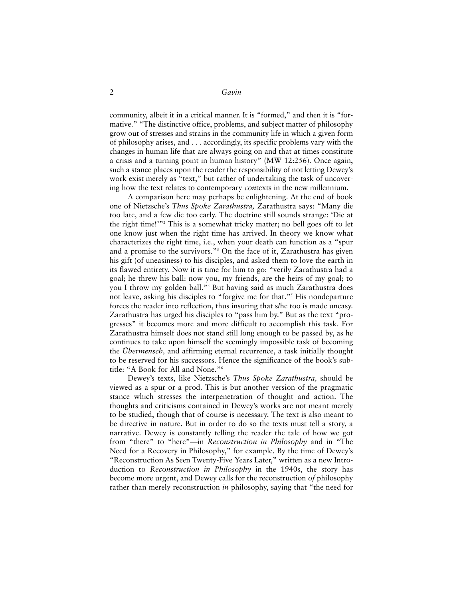2 *Gavin*

community, albeit it in a critical manner. It is "formed," and then it is "formative." "The distinctive office, problems, and subject matter of philosophy grow out of stresses and strains in the community life in which a given form of philosophy arises, and . . . accordingly, its specific problems vary with the changes in human life that are always going on and that at times constitute a crisis and a turning point in human history" (MW 12:256). Once again, such a stance places upon the reader the responsibility of not letting Dewey's work exist merely as "text," but rather of undertaking the task of uncovering how the text relates to contemporary *con*texts in the new millennium.

A comparison here may perhaps be enlightening. At the end of book one of Nietzsche's *Thus Spoke Zarathustra,* Zarathustra says: "Many die too late, and a few die too early. The doctrine still sounds strange: 'Die at the right time!'"2 This is a somewhat tricky matter; no bell goes off to let one know just when the right time has arrived. In theory we know what characterizes the right time, i.e., when your death can function as a "spur and a promise to the survivors."3 On the face of it, Zarathustra has given his gift (of uneasiness) to his disciples, and asked them to love the earth in its flawed entirety. Now it is time for him to go: "verily Zarathustra had a goal; he threw his ball: now you, my friends, are the heirs of my goal; to you I throw my golden ball."4 But having said as much Zarathustra does not leave, asking his disciples to "forgive me for that."<sup>5</sup> His nondeparture forces the reader into reflection, thus insuring that s/he too is made uneasy. Zarathustra has urged his disciples to "pass him by." But as the text "progresses" it becomes more and more difficult to accomplish this task. For Zarathustra himself does not stand still long enough to be passed by, as he continues to take upon himself the seemingly impossible task of becoming the *Übermensch,* and affirming eternal recurrence, a task initially thought to be reserved for his successors. Hence the significance of the book's subtitle: "A Book for All and None."6

Dewey's texts, like Nietzsche's *Thus Spoke Zarathustra,* should be viewed as a spur or a prod. This is but another version of the pragmatic stance which stresses the interpenetration of thought and action. The thoughts and criticisms contained in Dewey's works are not meant merely to be studied, though that of course is necessary. The text is also meant to be directive in nature. But in order to do so the texts must tell a story, a narrative. Dewey is constantly telling the reader the tale of how we got from "there" to "here"—in *Reconstruction in Philosophy* and in "The Need for a Recovery in Philosophy," for example. By the time of Dewey's "Reconstruction As Seen Twenty-Five Years Later," written as a new Introduction to *Reconstruction in Philosophy* in the 1940s, the story has become more urgent, and Dewey calls for the reconstruction *of* philosophy rather than merely reconstruction *in* philosophy, saying that "the need for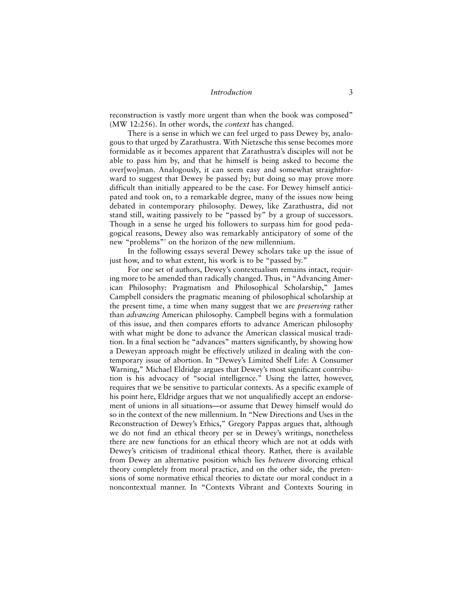#### *Introduction* 3

reconstruction is vastly more urgent than when the book was composed" (MW 12:256). In other words, the *context* has changed.

There is a sense in which we can feel urged to pass Dewey by, analogous to that urged by Zarathustra. With Nietzsche this sense becomes more formidable as it becomes apparent that Zarathustra's disciples will not be able to pass him by, and that he himself is being asked to become the over[wo]man. Analogously, it can seem easy and somewhat straightforward to suggest that Dewey be passed by; but doing so may prove more difficult than initially appeared to be the case. For Dewey himself anticipated and took on, to a remarkable degree, many of the issues now being debated in contemporary philosophy. Dewey, like Zarathustra, did not stand still, waiting passively to be "passed by" by a group of successors. Though in a sense he urged his followers to surpass him for good pedagogical reasons, Dewey also was remarkably anticipatory of some of the new "problems"7 on the horizon of the new millennium.

In the following essays several Dewey scholars take up the issue of just how, and to what extent, his work is to be "passed by."

For one set of authors, Dewey's contextualism remains intact, requiring more to be amended than radically changed. Thus, in "Advancing American Philosophy: Pragmatism and Philosophical Scholarship," James Campbell considers the pragmatic meaning of philosophical scholarship at the present time, a time when many suggest that we are *preserving* rather than *advancing* American philosophy. Campbell begins with a formulation of this issue, and then compares efforts to advance American philosophy with what might be done to advance the American classical musical tradition. In a final section he "advances" matters significantly, by showing how a Deweyan approach might be effectively utilized in dealing with the contemporary issue of abortion. In "Dewey's Limited Shelf Life: A Consumer Warning," Michael Eldridge argues that Dewey's most significant contribution is his advocacy of "social intelligence." Using the latter, however, requires that we be sensitive to particular contexts. As a specific example of his point here, Eldridge argues that we not unqualifiedly accept an endorsement of unions in all situations—or assume that Dewey himself would do so in the context of the new millennium. In "New Directions and Uses in the Reconstruction of Dewey's Ethics," Gregory Pappas argues that, although we do not find an ethical theory per se in Dewey's writings, nonetheless there are new functions for an ethical theory which are not at odds with Dewey's criticism of traditional ethical theory. Rather, there is available from Dewey an alternative position which lies *between* divorcing ethical theory completely from moral practice, and on the other side, the pretensions of some normative ethical theories to dictate our moral conduct in a noncontextual manner. In "Contexts Vibrant and Contexts Souring in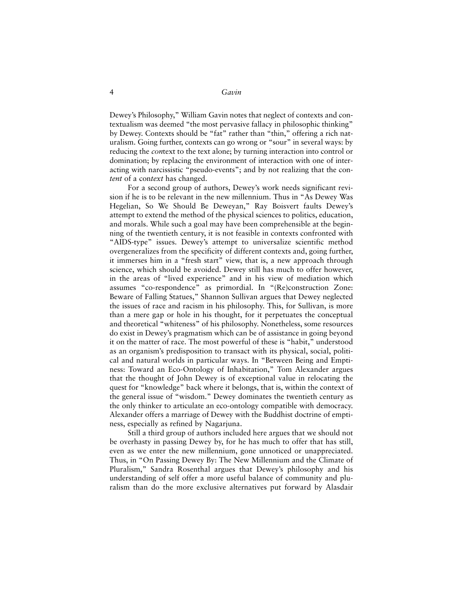4 *Gavin*

Dewey's Philosophy," William Gavin notes that neglect of contexts and contextualism was deemed "the most pervasive fallacy in philosophic thinking" by Dewey. Contexts should be "fat" rather than "thin," offering a rich naturalism. Going further, contexts can go wrong or "sour" in several ways: by reducing the *con*text to the text alone; by turning interaction into control or domination; by replacing the environment of interaction with one of interacting with narcissistic "pseudo-events"; and by not realizing that the con*tent* of a con*text* has changed.

For a second group of authors, Dewey's work needs significant revision if he is to be relevant in the new millennium. Thus in "As Dewey Was Hegelian, So We Should Be Deweyan," Ray Boisvert faults Dewey's attempt to extend the method of the physical sciences to politics, education, and morals. While such a goal may have been comprehensible at the beginning of the twentieth century, it is not feasible in contexts confronted with "AIDS-type" issues. Dewey's attempt to universalize scientific method overgeneralizes from the specificity of different contexts and, going further, it immerses him in a "fresh start" view, that is, a new approach through science, which should be avoided. Dewey still has much to offer however, in the areas of "lived experience" and in his view of mediation which assumes "co-respondence" as primordial. In "(Re)construction Zone: Beware of Falling Statues," Shannon Sullivan argues that Dewey neglected the issues of race and racism in his philosophy. This, for Sullivan, is more than a mere gap or hole in his thought, for it perpetuates the conceptual and theoretical "whiteness" of his philosophy. Nonetheless, some resources do exist in Dewey's pragmatism which can be of assistance in going beyond it on the matter of race. The most powerful of these is "habit," understood as an organism's predisposition to transact with its physical, social, political and natural worlds in particular ways. In "Between Being and Emptiness: Toward an Eco-Ontology of Inhabitation," Tom Alexander argues that the thought of John Dewey is of exceptional value in relocating the quest for "knowledge" back where it belongs, that is, within the context of the general issue of "wisdom." Dewey dominates the twentieth century as the only thinker to articulate an eco-ontology compatible with democracy. Alexander offers a marriage of Dewey with the Buddhist doctrine of emptiness, especially as refined by Nagarjuna.

Still a third group of authors included here argues that we should not be overhasty in passing Dewey by, for he has much to offer that has still, even as we enter the new millennium, gone unnoticed or unappreciated. Thus, in "On Passing Dewey By: The New Millennium and the Climate of Pluralism," Sandra Rosenthal argues that Dewey's philosophy and his understanding of self offer a more useful balance of community and pluralism than do the more exclusive alternatives put forward by Alasdair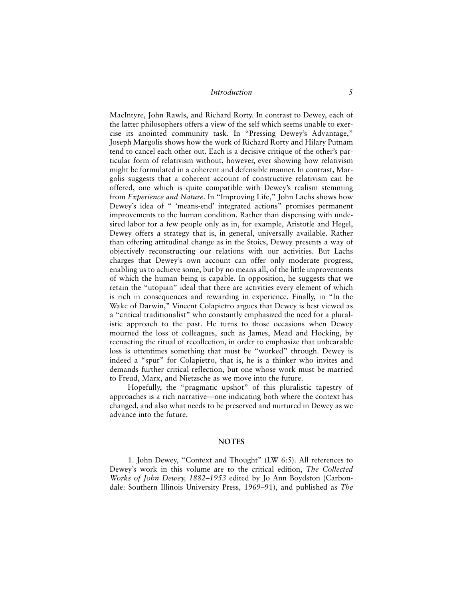### *Introduction* 5

MacIntyre, John Rawls, and Richard Rorty. In contrast to Dewey, each of the latter philosophers offers a view of the self which seems unable to exercise its anointed community task. In "Pressing Dewey's Advantage," Joseph Margolis shows how the work of Richard Rorty and Hilary Putnam tend to cancel each other out. Each is a decisive critique of the other's particular form of relativism without, however, ever showing how relativism might be formulated in a coherent and defensible manner. In contrast, Margolis suggests that a coherent account of constructive relativism can be offered, one which is quite compatible with Dewey's realism stemming from *Experience and Nature*. In "Improving Life," John Lachs shows how Dewey's idea of " 'means-end' integrated actions" promises permanent improvements to the human condition. Rather than dispensing with undesired labor for a few people only as in, for example, Aristotle and Hegel, Dewey offers a strategy that is, in general, universally available. Rather than offering attitudinal change as in the Stoics, Dewey presents a way of objectively reconstructing our relations with our activities. But Lachs charges that Dewey's own account can offer only moderate progress, enabling us to achieve some, but by no means all, of the little improvements of which the human being is capable. In opposition, he suggests that we retain the "utopian" ideal that there are activities every element of which is rich in consequences and rewarding in experience. Finally, in "In the Wake of Darwin," Vincent Colapietro argues that Dewey is best viewed as a "critical traditionalist" who constantly emphasized the need for a pluralistic approach to the past. He turns to those occasions when Dewey mourned the loss of colleagues, such as James, Mead and Hocking, by reenacting the ritual of recollection, in order to emphasize that unbearable loss is oftentimes something that must be "worked" through. Dewey is indeed a "spur" for Colapietro, that is, he is a thinker who invites and demands further critical reflection, but one whose work must be married to Freud, Marx, and Nietzsche as we move into the future.

Hopefully, the "pragmatic upshot" of this pluralistic tapestry of approaches is a rich narrative—one indicating both where the context has changed, and also what needs to be preserved and nurtured in Dewey as we advance into the future.

#### **NOTES**

1. John Dewey, "Context and Thought" (LW 6:5). All references to Dewey's work in this volume are to the critical edition, *The Collected Works of John Dewey, 1882–1953* edited by Jo Ann Boydston (Carbondale: Southern Illinois University Press, 1969–91), and published as *The*